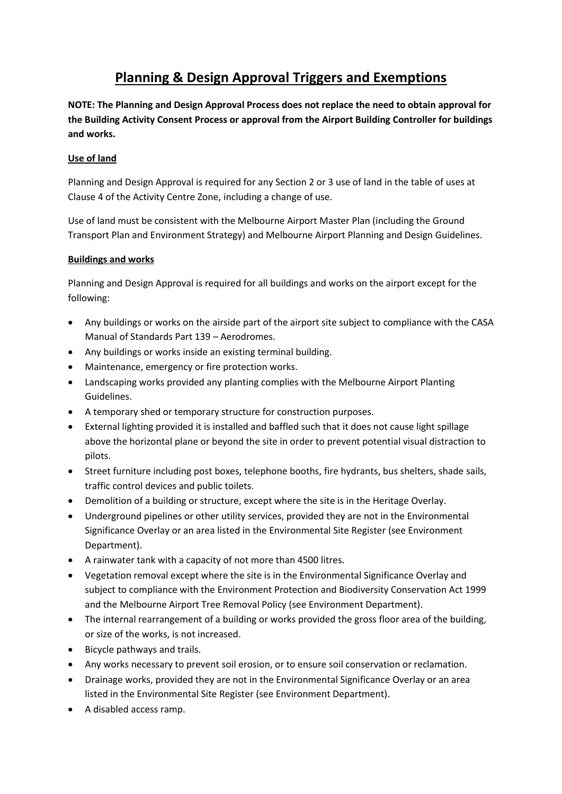## **Planning & Design Approval Triggers and Exemptions**

**NOTE: The Planning and Design Approval Process does not replace the need to obtain approval for the Building Activity Consent Process or approval from the Airport Building Controller for buildings and works.** 

## **Use of land**

Planning and Design Approval is required for any Section 2 or 3 use of land in the table of uses at Clause 4 of the Activity Centre Zone, including a change of use.

Use of land must be consistent with the Melbourne Airport Master Plan (including the Ground Transport Plan and Environment Strategy) and Melbourne Airport Planning and Design Guidelines.

## **Buildings and works**

Planning and Design Approval is required for all buildings and works on the airport except for the following:

- Any buildings or works on the airside part of the airport site subject to compliance with the CASA Manual of Standards Part 139 – Aerodromes.
- Any buildings or works inside an existing terminal building.
- Maintenance, emergency or fire protection works.
- Landscaping works provided any planting complies with the Melbourne Airport Planting Guidelines.
- A temporary shed or temporary structure for construction purposes.
- External lighting provided it is installed and baffled such that it does not cause light spillage above the horizontal plane or beyond the site in order to prevent potential visual distraction to pilots.
- Street furniture including post boxes, telephone booths, fire hydrants, bus shelters, shade sails, traffic control devices and public toilets.
- Demolition of a building or structure, except where the site is in the Heritage Overlay.
- Underground pipelines or other utility services, provided they are not in the Environmental Significance Overlay or an area listed in the Environmental Site Register (see Environment Department).
- A rainwater tank with a capacity of not more than 4500 litres.
- Vegetation removal except where the site is in the Environmental Significance Overlay and subject to compliance with the Environment Protection and Biodiversity Conservation Act 1999 and the Melbourne Airport Tree Removal Policy (see Environment Department).
- The internal rearrangement of a building or works provided the gross floor area of the building, or size of the works, is not increased.
- Bicycle pathways and trails.
- Any works necessary to prevent soil erosion, or to ensure soil conservation or reclamation.
- Drainage works, provided they are not in the Environmental Significance Overlay or an area listed in the Environmental Site Register (see Environment Department).
- A disabled access ramp.